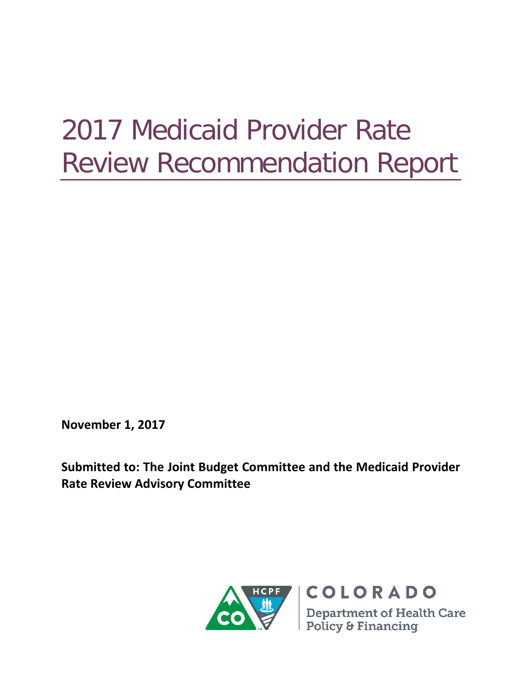# 2017 Medicaid Provider Rate Review Recommendation Report

**November 1, 2017**

**Submitted to: The Joint Budget Committee and the Medicaid Provider Rate Review Advisory Committee**

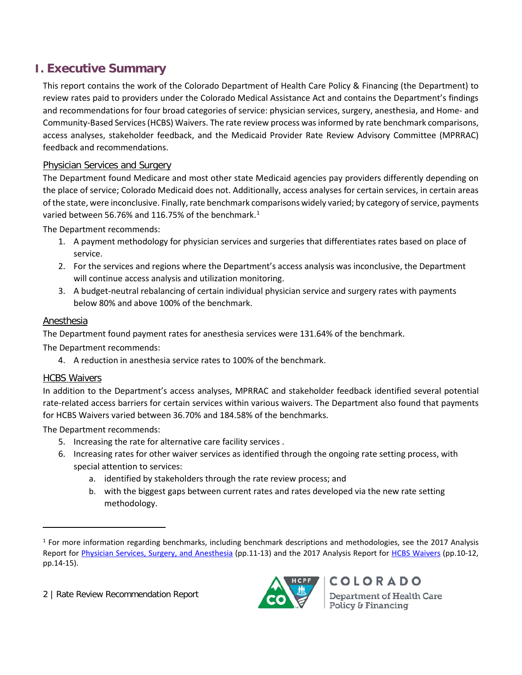# **I. Executive Summary**

This report contains the work of the Colorado Department of Health Care Policy & Financing (the Department) to review rates paid to providers under the Colorado Medical Assistance Act and contains the Department's findings and recommendations for four broad categories of service: physician services, surgery, anesthesia, and Home- and Community-Based Services (HCBS) Waivers. The rate review process was informed by rate benchmark comparisons, access analyses, stakeholder feedback, and the Medicaid Provider Rate Review Advisory Committee (MPRRAC) feedback and recommendations.

## Physician Services and Surgery

The Department found Medicare and most other state Medicaid agencies pay providers differently depending on the place of service; Colorado Medicaid does not. Additionally, access analyses for certain services, in certain areas of the state, were inconclusive. Finally, rate benchmark comparisons widely varied; by category of service, payments varied between 56.76% and [1](#page-1-0)16.75% of the benchmark.<sup>1</sup>

The Department recommends:

- 1. A payment methodology for physician services and surgeries that differentiates rates based on place of service.
- 2. For the services and regions where the Department's access analysis was inconclusive, the Department will continue access analysis and utilization monitoring.
- 3. A budget-neutral rebalancing of certain individual physician service and surgery rates with payments below 80% and above 100% of the benchmark.

## Anesthesia

The Department found payment rates for anesthesia services were 131.64% of the benchmark.

The Department recommends:

4. A reduction in anesthesia service rates to 100% of the benchmark.

## **HCBS Waivers**

 $\overline{a}$ 

In addition to the Department's access analyses, MPRRAC and stakeholder feedback identified several potential rate-related access barriers for certain services within various waivers. The Department also found that payments for HCBS Waivers varied between 36.70% and 184.58% of the benchmarks.

The Department recommends:

- 5. Increasing the rate for alternative care facility services .
- 6. Increasing rates for other waiver services as identified through the ongoing rate setting process, with special attention to services:
	- a. identified by stakeholders through the rate review process; and
	- b. with the biggest gaps between current rates and rates developed via the new rate setting methodology.

2 | Rate Review Recommendation Report



<span id="page-1-0"></span> $1$  For more information regarding benchmarks, including benchmark descriptions and methodologies, see the 2017 Analysis Report for [Physician Services, Surgery, and Anesthesia](https://www.colorado.gov/pacific/sites/default/files/2017%20Medicaid%20Provider%20Rate%20Review%20Analysis%20Report%20-%20Physician%20Services%2C%20Surgery%2C%20and%20Anesthesia.pdf) (pp.11-13) and the 2017 Analysis Report for [HCBS Waivers](https://www.colorado.gov/pacific/sites/default/files/2017%20Medicaid%20Provider%20Rate%20Review%20Analysis%20Report%20-%20HCBS%20Waivers.pdf) (pp.10-12, pp.14-15).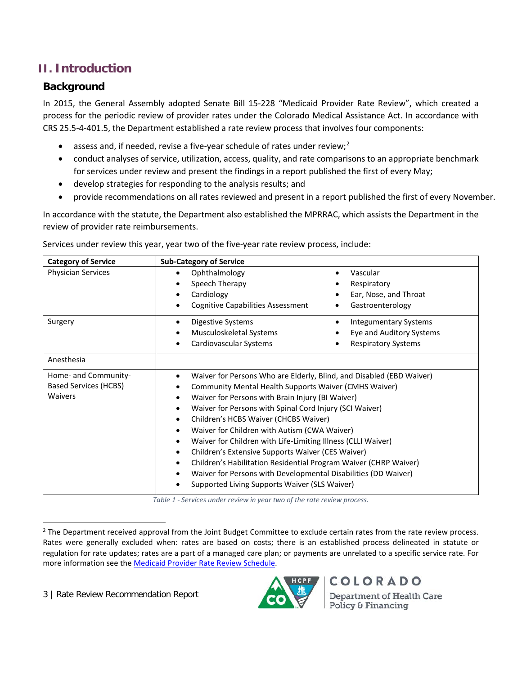# **II. Introduction**

# **Background**

In 2015, the General Assembly adopted Senate Bill 15-228 "Medicaid Provider Rate Review", which created a process for the periodic review of provider rates under the Colorado Medical Assistance Act. In accordance with CRS 25.5-4-401.5, the Department established a rate review process that involves four components:

- assess and, if needed, revise a five-year schedule of rates under review;<sup>[2](#page-2-0)</sup>
- conduct analyses of service, utilization, access, quality, and rate comparisons to an appropriate benchmark for services under review and present the findings in a report published the first of every May;
- develop strategies for responding to the analysis results; and
- provide recommendations on all rates reviewed and present in a report published the first of every November.

In accordance with the statute, the Department also established the MPRRAC, which assists the Department in the review of provider rate reimbursements.

| <b>Category of Service</b>   | <b>Sub-Category of Service</b>                                                |                                                                                                                               |  |  |  |
|------------------------------|-------------------------------------------------------------------------------|-------------------------------------------------------------------------------------------------------------------------------|--|--|--|
| Physician Services           | Ophthalmology<br>$\bullet$                                                    | Vascular<br>$\bullet$                                                                                                         |  |  |  |
|                              | Speech Therapy                                                                | Respiratory                                                                                                                   |  |  |  |
|                              | Cardiology<br>٠                                                               | Ear, Nose, and Throat                                                                                                         |  |  |  |
|                              | <b>Cognitive Capabilities Assessment</b>                                      | Gastroenterology<br>$\bullet$                                                                                                 |  |  |  |
| Surgery                      | <b>Digestive Systems</b><br>٠                                                 | <b>Integumentary Systems</b><br>٠                                                                                             |  |  |  |
|                              | Musculoskeletal Systems                                                       | Eye and Auditory Systems                                                                                                      |  |  |  |
|                              | Cardiovascular Systems                                                        | <b>Respiratory Systems</b>                                                                                                    |  |  |  |
| Anesthesia                   |                                                                               |                                                                                                                               |  |  |  |
| Home- and Community-         |                                                                               | Waiver for Persons Who are Elderly, Blind, and Disabled (EBD Waiver)<br>Community Mental Health Supports Waiver (CMHS Waiver) |  |  |  |
| <b>Based Services (HCBS)</b> | ٠                                                                             |                                                                                                                               |  |  |  |
| <b>Waivers</b>               | Waiver for Persons with Brain Injury (BI Waiver)<br>$\bullet$                 |                                                                                                                               |  |  |  |
|                              | Waiver for Persons with Spinal Cord Injury (SCI Waiver)<br>٠                  |                                                                                                                               |  |  |  |
|                              | Children's HCBS Waiver (CHCBS Waiver)<br>$\bullet$                            |                                                                                                                               |  |  |  |
|                              | Waiver for Children with Autism (CWA Waiver)<br>٠                             |                                                                                                                               |  |  |  |
|                              | Waiver for Children with Life-Limiting Illness (CLLI Waiver)                  |                                                                                                                               |  |  |  |
|                              | Children's Extensive Supports Waiver (CES Waiver)<br>$\bullet$                |                                                                                                                               |  |  |  |
|                              | Children's Habilitation Residential Program Waiver (CHRP Waiver)<br>$\bullet$ |                                                                                                                               |  |  |  |
|                              | Waiver for Persons with Developmental Disabilities (DD Waiver)                |                                                                                                                               |  |  |  |
|                              | Supported Living Supports Waiver (SLS Waiver)                                 |                                                                                                                               |  |  |  |

Services under review this year, year two of the five-year rate review process, include:

*Table 1 - Services under review in year two of the rate review process.*

3 | Rate Review Recommendation Report



<span id="page-2-0"></span><sup>&</sup>lt;sup>2</sup> The Department received approval from the Joint Budget Committee to exclude certain rates from the rate review process. Rates were generally excluded when: rates are based on costs; there is an established process delineated in statute or regulation for rate updates; rates are a part of a managed care plan; or payments are unrelated to a specific service rate. For more information see the [Medicaid Provider Rate Review Schedule.](https://www.colorado.gov/pacific/sites/default/files/Medicaid%20Provider%20Rate%20Review%20Schedule%20FINAL%20October%202015.pdf)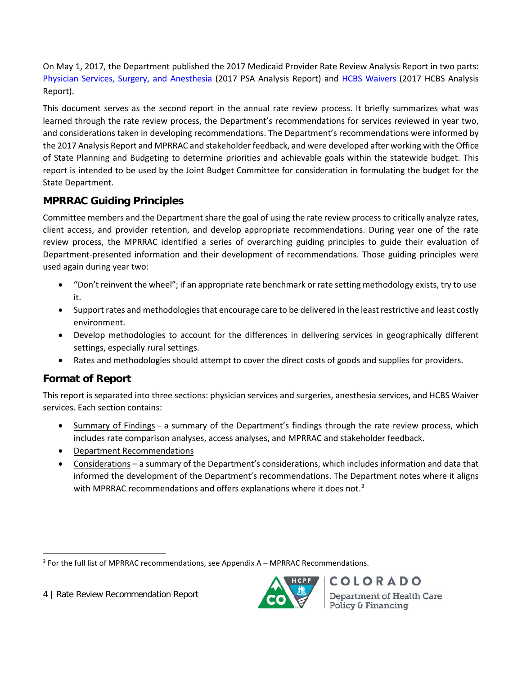On May 1, 2017, the Department published the 2017 Medicaid Provider Rate Review Analysis Report in two parts: [Physician Services, Surgery, and](https://www.colorado.gov/pacific/sites/default/files/2017%20Medicaid%20Provider%20Rate%20Review%20Analysis%20Report%20-%20Physician%20Services%2C%20Surgery%2C%20and%20Anesthesia.pdf) Anesthesia (2017 PSA Analysis Report) and HCBS [Waivers](https://www.colorado.gov/pacific/sites/default/files/2017%20Medicaid%20Provider%20Rate%20Review%20Analysis%20Report%20-%20HCBS%20Waivers.pdf) (2017 HCBS Analysis Report).

This document serves as the second report in the annual rate review process. It briefly summarizes what was learned through the rate review process, the Department's recommendations for services reviewed in year two, and considerations taken in developing recommendations. The Department's recommendations were informed by the 2017 Analysis Report and MPRRAC and stakeholder feedback, and were developed after working with the Office of State Planning and Budgeting to determine priorities and achievable goals within the statewide budget. This report is intended to be used by the Joint Budget Committee for consideration in formulating the budget for the State Department.

# **MPRRAC Guiding Principles**

Committee members and the Department share the goal of using the rate review process to critically analyze rates, client access, and provider retention, and develop appropriate recommendations. During year one of the rate review process, the MPRRAC identified a series of overarching guiding principles to guide their evaluation of Department-presented information and their development of recommendations. Those guiding principles were used again during year two:

- "Don't reinvent the wheel"; if an appropriate rate benchmark or rate setting methodology exists, try to use it.
- Support rates and methodologies that encourage care to be delivered in the least restrictive and least costly environment.
- Develop methodologies to account for the differences in delivering services in geographically different settings, especially rural settings.
- Rates and methodologies should attempt to cover the direct costs of goods and supplies for providers.

# **Format of Report**

This report is separated into three sections: physician services and surgeries, anesthesia services, and HCBS Waiver services. Each section contains:

- Summary of Findings a summary of the Department's findings through the rate review process, which includes rate comparison analyses, access analyses, and MPRRAC and stakeholder feedback.
- Department Recommendations
- Considerations a summary of the Department's considerations, which includes information and data that informed the development of the Department's recommendations. The Department notes where it aligns with MPRRAC recommendations and offers explanations where it does not.<sup>[3](#page-3-0)</sup>



<span id="page-3-0"></span> <sup>3</sup> For the full list of MPRRAC recommendations, see Appendix A – MPRRAC Recommendations.

<sup>4</sup> | Rate Review Recommendation Report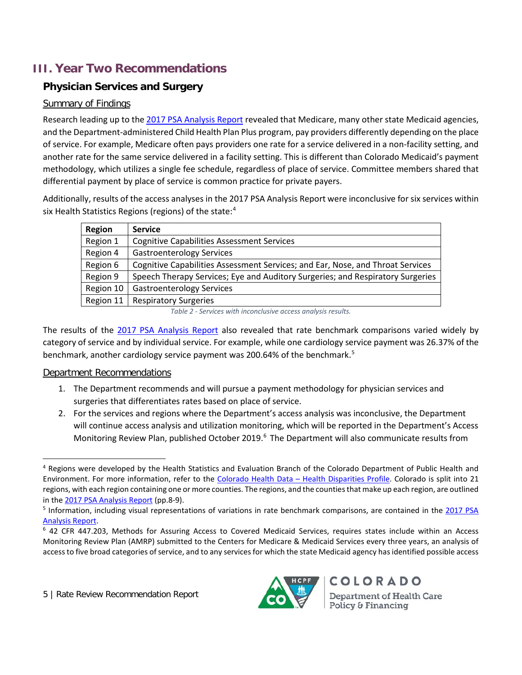# **III. Year Two Recommendations**

# **Physician Services and Surgery**

#### Summary of Findings

Research leading up to the [2017 PSA Analysis Report](https://www.colorado.gov/pacific/sites/default/files/2017%20Medicaid%20Provider%20Rate%20Review%20Analysis%20Report%20-%20Physician%20Services%2C%20Surgery%2C%20and%20Anesthesia.pdf) revealed that Medicare, many other state Medicaid agencies, and the Department-administered Child Health Plan Plus program, pay providers differently depending on the place of service. For example, Medicare often pays providers one rate for a service delivered in a non-facility setting, and another rate for the same service delivered in a facility setting. This is different than Colorado Medicaid's payment methodology, which utilizes a single fee schedule, regardless of place of service. Committee members shared that differential payment by place of service is common practice for private payers.

Additionally, results of the access analyses in the 2017 PSA Analysis Report were inconclusive for six services within six Health Statistics Regions (regions) of the state:<sup>[4](#page-4-0)</sup>

| <b>Region</b> | <b>Service</b>                                                                 |
|---------------|--------------------------------------------------------------------------------|
| Region 1      | <b>Cognitive Capabilities Assessment Services</b>                              |
| Region 4      | <b>Gastroenterology Services</b>                                               |
| Region 6      | Cognitive Capabilities Assessment Services; and Ear, Nose, and Throat Services |
| Region 9      | Speech Therapy Services; Eye and Auditory Surgeries; and Respiratory Surgeries |
| Region 10     | <b>Gastroenterology Services</b>                                               |
| Region 11     | <b>Respiratory Surgeries</b>                                                   |

*Table 2 - Services with inconclusive access analysis results.*

The results of the [2017 PSA Analysis Report](https://www.colorado.gov/pacific/sites/default/files/2017%20Medicaid%20Provider%20Rate%20Review%20Analysis%20Report%20-%20Physician%20Services%2C%20Surgery%2C%20and%20Anesthesia.pdf) also revealed that rate benchmark comparisons varied widely by category of service and by individual service. For example, while one cardiology service payment was 26.37% of the benchmark, another cardiology service payment was 200.64% of the benchmark. [5](#page-4-1)

#### Department Recommendations

- 1. The Department recommends and will pursue a payment methodology for physician services and surgeries that differentiates rates based on place of service.
- 2. For the services and regions where the Department's access analysis was inconclusive, the Department will continue access analysis and utilization monitoring, which will be reported in the Department's Access Monitoring Review Plan, published October 2019.<sup>[6](#page-4-2)</sup> The Department will also communicate results from



<span id="page-4-0"></span> <sup>4</sup> Regions were developed by the Health Statistics and Evaluation Branch of the Colorado Department of Public Health and Environment. For more information, refer to the Colorado Health Data – [Health Disparities Profile.](http://www.chd.dphe.state.co.us/HealthDisparitiesProfiles/dispHealthProfiles.aspx) Colorado is split into 21 regions, with each region containing one or more counties. The regions, and the counties that make up each region, are outlined in the [2017 PSA](https://www.colorado.gov/pacific/sites/default/files/2017%20Medicaid%20Provider%20Rate%20Review%20Analysis%20Report%20-%20Physician%20Services%2C%20Surgery%2C%20and%20Anesthesia.pdf) Analysis Report (pp.8-9).<br><sup>5</sup> Information, including visual representations of variations in rate benchmark comparisons, are contained in the 2017 PSA

<span id="page-4-1"></span>[Analysis Report.](https://www.colorado.gov/pacific/sites/default/files/2017%20Medicaid%20Provider%20Rate%20Review%20Analysis%20Report%20-%20Physician%20Services%2C%20Surgery%2C%20and%20Anesthesia.pdf)<br><sup>6</sup> 42 CFR 447.203, Methods for Assuring Access to Covered Medicaid Services, requires states include within an Access

<span id="page-4-2"></span>Monitoring Review Plan (AMRP) submitted to the Centers for Medicare & Medicaid Services every three years, an analysis of access to five broad categories of service, and to any services for which the state Medicaid agency has identified possible access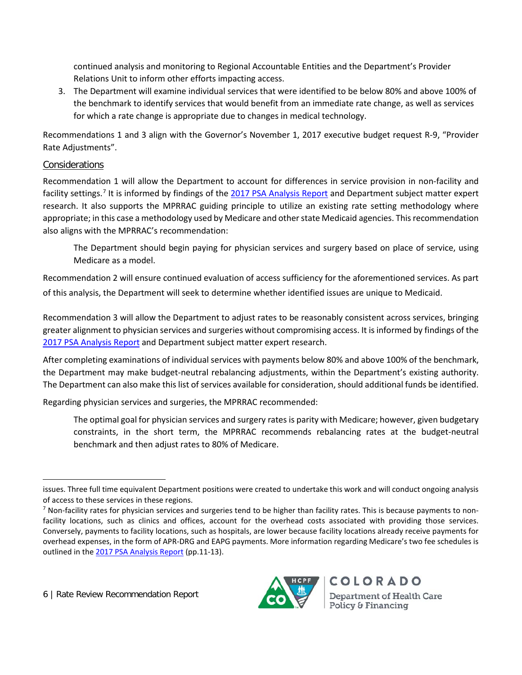continued analysis and monitoring to Regional Accountable Entities and the Department's Provider Relations Unit to inform other efforts impacting access.

3. The Department will examine individual services that were identified to be below 80% and above 100% of the benchmark to identify services that would benefit from an immediate rate change, as well as services for which a rate change is appropriate due to changes in medical technology.

Recommendations 1 and 3 align with the Governor's November 1, 2017 executive budget request R-9, "Provider Rate Adjustments".

#### **Considerations**

 $\overline{a}$ 

Recommendation 1 will allow the Department to account for differences in service provision in non-facility and facility settings.[7](#page-5-0) It is informed by findings of th[e 2017 PSA Analysis Report](https://www.colorado.gov/pacific/sites/default/files/2017%20Medicaid%20Provider%20Rate%20Review%20Analysis%20Report%20-%20Physician%20Services%2C%20Surgery%2C%20and%20Anesthesia.pdf) and Department subject matter expert research. It also supports the MPRRAC guiding principle to utilize an existing rate setting methodology where appropriate; in this case a methodology used by Medicare and other state Medicaid agencies. This recommendation also aligns with the MPRRAC's recommendation:

The Department should begin paying for physician services and surgery based on place of service, using Medicare as a model.

Recommendation 2 will ensure continued evaluation of access sufficiency for the aforementioned services. As part of this analysis, the Department will seek to determine whether identified issues are unique to Medicaid.

Recommendation 3 will allow the Department to adjust rates to be reasonably consistent across services, bringing greater alignment to physician services and surgeries without compromising access. It is informed by findings of the [2017 PSA Analysis Report](https://www.colorado.gov/pacific/sites/default/files/2017%20Medicaid%20Provider%20Rate%20Review%20Analysis%20Report%20-%20Physician%20Services%2C%20Surgery%2C%20and%20Anesthesia.pdf) and Department subject matter expert research.

After completing examinations of individual services with payments below 80% and above 100% of the benchmark, the Department may make budget-neutral rebalancing adjustments, within the Department's existing authority. The Department can also make this list of services available for consideration, should additional funds be identified.

Regarding physician services and surgeries, the MPRRAC recommended:

The optimal goal for physician services and surgery rates is parity with Medicare; however, given budgetary constraints, in the short term, the MPRRAC recommends rebalancing rates at the budget-neutral benchmark and then adjust rates to 80% of Medicare.



issues. Three full time equivalent Department positions were created to undertake this work and will conduct ongoing analysis of access to these services in these regions.

<span id="page-5-0"></span> $<sup>7</sup>$  Non-facility rates for physician services and surgeries tend to be higher than facility rates. This is because payments to non-</sup> facility locations, such as clinics and offices, account for the overhead costs associated with providing those services. Conversely, payments to facility locations, such as hospitals, are lower because facility locations already receive payments for overhead expenses, in the form of APR-DRG and EAPG payments. More information regarding Medicare's two fee schedules is outlined in th[e 2017 PSA Analysis Report](https://www.colorado.gov/pacific/sites/default/files/2017%20Medicaid%20Provider%20Rate%20Review%20Analysis%20Report%20-%20Physician%20Services%2C%20Surgery%2C%20and%20Anesthesia.pdf) (pp.11-13).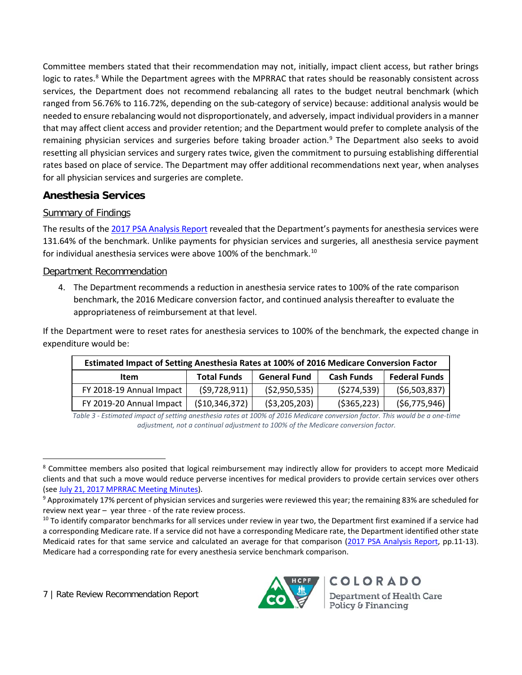Committee members stated that their recommendation may not, initially, impact client access, but rather brings logic to rates.<sup>[8](#page-6-0)</sup> While the Department agrees with the MPRRAC that rates should be reasonably consistent across services, the Department does not recommend rebalancing all rates to the budget neutral benchmark (which ranged from 56.76% to 116.72%, depending on the sub-category of service) because: additional analysis would be needed to ensure rebalancing would not disproportionately, and adversely, impact individual providers in a manner that may affect client access and provider retention; and the Department would prefer to complete analysis of the remaining physician services and surgeries before taking broader action.<sup>[9](#page-6-1)</sup> The Department also seeks to avoid resetting all physician services and surgery rates twice, given the commitment to pursuing establishing differential rates based on place of service. The Department may offer additional recommendations next year, when analyses for all physician services and surgeries are complete.

## **Anesthesia Services**

#### Summary of Findings

The results of th[e 2017 PSA Analysis Report](https://www.colorado.gov/pacific/sites/default/files/2017%20Medicaid%20Provider%20Rate%20Review%20Analysis%20Report%20-%20Physician%20Services%2C%20Surgery%2C%20and%20Anesthesia.pdf) revealed that the Department's payments for anesthesia services were 131.64% of the benchmark. Unlike payments for physician services and surgeries, all anesthesia service payment for individual anesthesia services were above [10](#page-6-2)0% of the benchmark.<sup>10</sup>

#### Department Recommendation

4. The Department recommends a reduction in anesthesia service rates to 100% of the rate comparison benchmark, the 2016 Medicare conversion factor, and continued analysis thereafter to evaluate the appropriateness of reimbursement at that level.

If the Department were to reset rates for anesthesia services to 100% of the benchmark, the expected change in expenditure would be:

| Estimated Impact of Setting Anesthesia Rates at 100% of 2016 Medicare Conversion Factor |                    |                     |                   |                      |  |  |  |
|-----------------------------------------------------------------------------------------|--------------------|---------------------|-------------------|----------------------|--|--|--|
| <b>Item</b>                                                                             | <b>Total Funds</b> | <b>General Fund</b> | <b>Cash Funds</b> | <b>Federal Funds</b> |  |  |  |
| FY 2018-19 Annual Impact                                                                | (59, 728, 911)     | (52,950,535)        | (5274, 539)       | (56,503,837)         |  |  |  |
| FY 2019-20 Annual Impact                                                                | ( \$10, 346, 372)  | (53,205,203)        | ( \$365, 223)     | (56, 775, 946)       |  |  |  |

*Table 3 - Estimated impact of setting anesthesia rates at 100% of 2016 Medicare conversion factor. This would be a one-time adjustment, not a continual adjustment to 100% of the Medicare conversion factor.*



<span id="page-6-0"></span><sup>&</sup>lt;sup>8</sup> Committee members also posited that logical reimbursement may indirectly allow for providers to accept more Medicaid clients and that such a move would reduce perverse incentives for medical providers to provide certain services over others

<span id="page-6-1"></span><sup>(</sup>see July [21, 2017 MPRRAC Meeting Minutes\)](https://www.colorado.gov/pacific/sites/default/files/MPRRAC%20Meeting%20Minutes%20July%202017.pdf).<br><sup>9</sup> Approximately 17% percent of physician services and surgeries were reviewed this year; the remaining 83% are scheduled for review next year – year three - of the rate review process.

<span id="page-6-2"></span><sup>&</sup>lt;sup>10</sup> To identify comparator benchmarks for all services under review in year two, the Department first examined if a service had a corresponding Medicare rate. If a service did not have a corresponding Medicare rate, the Department identified other state Medicaid rates for that same service and calculated an average for that comparison [\(2017 PSA Analysis Report,](https://www.colorado.gov/pacific/sites/default/files/2017%20Medicaid%20Provider%20Rate%20Review%20Analysis%20Report%20-%20Physician%20Services%2C%20Surgery%2C%20and%20Anesthesia.pdf) pp.11-13). Medicare had a corresponding rate for every anesthesia service benchmark comparison.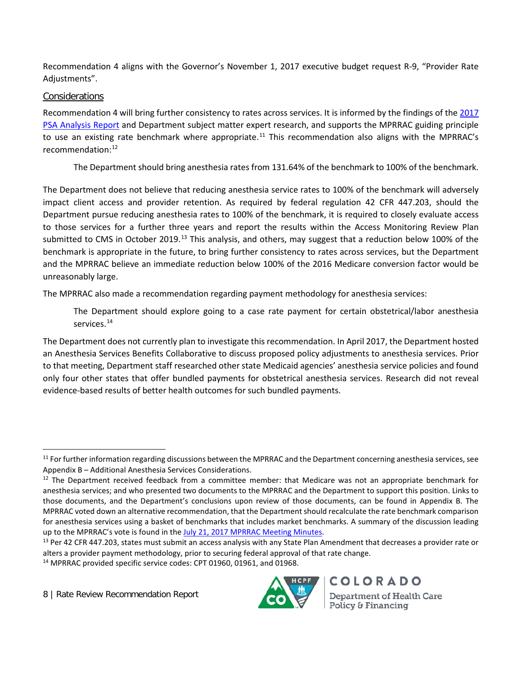Recommendation 4 aligns with the Governor's November 1, 2017 executive budget request R-9, "Provider Rate Adjustments".

#### **Considerations**

Recommendation 4 will bring further consistency to rates across services. It is informed by the findings of the 2017 [PSA Analysis Report](https://www.colorado.gov/pacific/sites/default/files/2017%20Medicaid%20Provider%20Rate%20Review%20Analysis%20Report%20-%20Physician%20Services%2C%20Surgery%2C%20and%20Anesthesia.pdf) and Department subject matter expert research, and supports the MPRRAC guiding principle to use an existing rate benchmark where appropriate.<sup>[11](#page-7-0)</sup> This recommendation also aligns with the MPRRAC's recommendation:[12](#page-7-1)

The Department should bring anesthesia rates from 131.64% of the benchmark to 100% of the benchmark.

The Department does not believe that reducing anesthesia service rates to 100% of the benchmark will adversely impact client access and provider retention. As required by federal regulation 42 CFR 447.203, should the Department pursue reducing anesthesia rates to 100% of the benchmark, it is required to closely evaluate access to those services for a further three years and report the results within the Access Monitoring Review Plan submitted to CMS in October 2019.<sup>[13](#page-7-2)</sup> This analysis, and others, may suggest that a reduction below 100% of the benchmark is appropriate in the future, to bring further consistency to rates across services, but the Department and the MPRRAC believe an immediate reduction below 100% of the 2016 Medicare conversion factor would be unreasonably large.

The MPRRAC also made a recommendation regarding payment methodology for anesthesia services:

The Department should explore going to a case rate payment for certain obstetrical/labor anesthesia services. [14](#page-7-3)

The Department does not currently plan to investigate this recommendation. In April 2017, the Department hosted an Anesthesia Services Benefits Collaborative to discuss proposed policy adjustments to anesthesia services. Prior to that meeting, Department staff researched other state Medicaid agencies' anesthesia service policies and found only four other states that offer bundled payments for obstetrical anesthesia services. Research did not reveal evidence-based results of better health outcomes for such bundled payments.



<span id="page-7-0"></span> $11$  For further information regarding discussions between the MPRRAC and the Department concerning anesthesia services, see Appendix B – Additional Anesthesia Services Considerations.

<span id="page-7-1"></span> $12$  The Department received feedback from a committee member: that Medicare was not an appropriate benchmark for anesthesia services; and who presented two documents to the MPRRAC and the Department to support this position. Links to those documents, and the Department's conclusions upon review of those documents, can be found in Appendix B. The MPRRAC voted down an alternative recommendation, that the Department should recalculate the rate benchmark comparison for anesthesia services using a basket of benchmarks that includes market benchmarks. A summary of the discussion leading up to the MPRRAC's vote is found in th[e July 21, 2017 MPRRAC Meeting Minutes.](https://www.colorado.gov/pacific/sites/default/files/MPRRAC%20Meeting%20Minutes%20July%202017.pdf)<br><sup>13</sup> Per 42 CFR 447.203, states must submit an access analysis with any State Plan Amendment that decreases a provider rate or

<span id="page-7-2"></span>alters a provider payment methodology, prior to securing federal approval of that rate change.

<span id="page-7-3"></span><sup>&</sup>lt;sup>14</sup> MPRRAC provided specific service codes: CPT 01960, 01961, and 01968.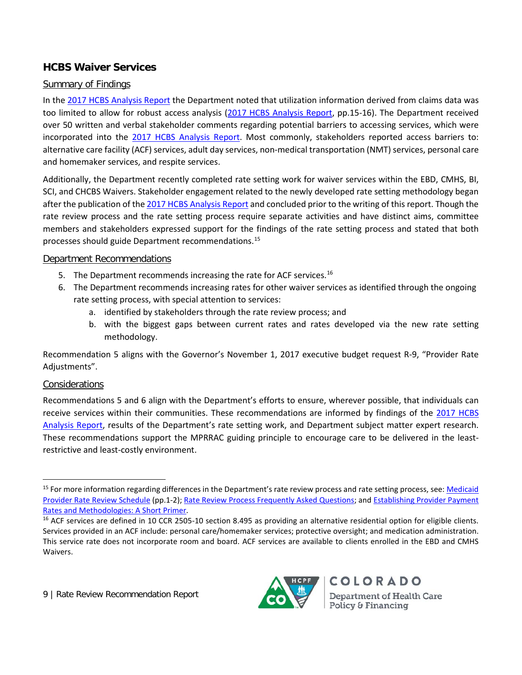## **HCBS Waiver Services**

#### Summary of Findings

In the [2017 HCBS Analysis Report](https://www.colorado.gov/pacific/sites/default/files/2017%20Medicaid%20Provider%20Rate%20Review%20Analysis%20Report%20-%20HCBS%20Waivers.pdf) the Department noted that utilization information derived from claims data was too limited to allow for robust access analysis [\(2017 HCBS Analysis Report,](https://www.colorado.gov/pacific/sites/default/files/2017%20Medicaid%20Provider%20Rate%20Review%20Analysis%20Report%20-%20HCBS%20Waivers.pdf) pp.15-16). The Department received over 50 written and verbal stakeholder comments regarding potential barriers to accessing services, which were incorporated into the [2017 HCBS Analysis Report.](https://www.colorado.gov/pacific/sites/default/files/2017%20Medicaid%20Provider%20Rate%20Review%20Analysis%20Report%20-%20HCBS%20Waivers.pdf) Most commonly, stakeholders reported access barriers to: alternative care facility (ACF) services, adult day services, non-medical transportation (NMT) services, personal care and homemaker services, and respite services.

Additionally, the Department recently completed rate setting work for waiver services within the EBD, CMHS, BI, SCI, and CHCBS Waivers. Stakeholder engagement related to the newly developed rate setting methodology began after the publication of th[e 2017 HCBS Analysis Report](https://www.colorado.gov/pacific/sites/default/files/2017%20Medicaid%20Provider%20Rate%20Review%20Analysis%20Report%20-%20HCBS%20Waivers.pdf) and concluded prior to the writing of this report. Though the rate review process and the rate setting process require separate activities and have distinct aims, committee members and stakeholders expressed support for the findings of the rate setting process and stated that both processes should guide Department recommendations.[15](#page-8-0)

#### Department Recommendations

- 5. The Department recommends increasing the rate for ACF services.<sup>[16](#page-8-1)</sup>
- 6. The Department recommends increasing rates for other waiver services as identified through the ongoing rate setting process, with special attention to services:
	- a. identified by stakeholders through the rate review process; and
	- b. with the biggest gaps between current rates and rates developed via the new rate setting methodology.

Recommendation 5 aligns with the Governor's November 1, 2017 executive budget request R-9, "Provider Rate Adjustments".

#### Considerations

Recommendations 5 and 6 align with the Department's efforts to ensure, wherever possible, that individuals can receive services within their communities. These recommendations are informed by findings of the [2017 HCBS](https://www.colorado.gov/pacific/sites/default/files/2017%20Medicaid%20Provider%20Rate%20Review%20Analysis%20Report%20-%20HCBS%20Waivers.pdf)  [Analysis Report,](https://www.colorado.gov/pacific/sites/default/files/2017%20Medicaid%20Provider%20Rate%20Review%20Analysis%20Report%20-%20HCBS%20Waivers.pdf) results of the Department's rate setting work, and Department subject matter expert research. These recommendations support the MPRRAC guiding principle to encourage care to be delivered in the leastrestrictive and least-costly environment.



<span id="page-8-0"></span><sup>&</sup>lt;sup>15</sup> For more information regarding differences in the Department's rate review process and rate setting process, see: Medicaid [Provider Rate Review Schedule](https://www.colorado.gov/pacific/sites/default/files/Medicaid%20Provider%20Rate%20Review%20Schedule%20October%202015.pdf) (pp.1-2); [Rate Review Process Frequently Asked Questions;](https://www.colorado.gov/pacific/sites/default/files/Rate%20Review%20Process%20FAQs.pdf) and [Establishing Provider Payment](https://www.colorado.gov/pacific/sites/default/files/Establishing%20Provider%20Payment%20Rates%20and%20Methodologies%20-%20A%20Short%20Primer.pdf)  [Rates and Methodologies: A Short Primer.](https://www.colorado.gov/pacific/sites/default/files/Establishing%20Provider%20Payment%20Rates%20and%20Methodologies%20-%20A%20Short%20Primer.pdf)<br><sup>16</sup> ACF services are defined in 10 CCR 2505-10 section 8.495 as providing an alternative residential option for eligible clients.

<span id="page-8-1"></span>Services provided in an ACF include: personal care/homemaker services; protective oversight; and medication administration. This service rate does not incorporate room and board. ACF services are available to clients enrolled in the EBD and CMHS Waivers.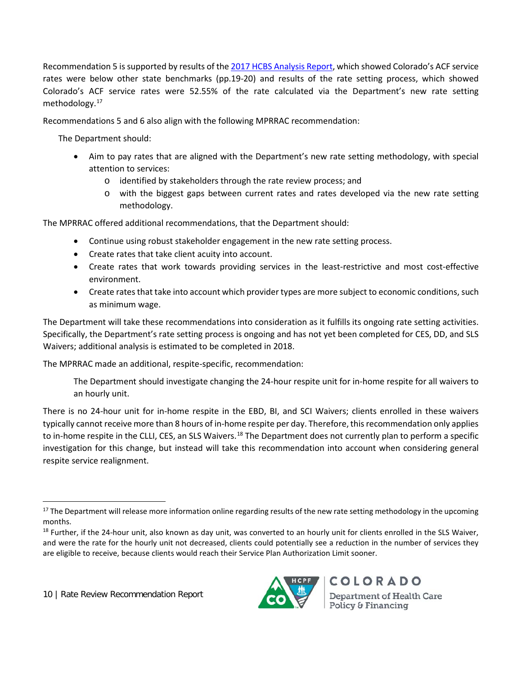Recommendation 5 is supported by results of the [2017 HCBS Analysis Report,](https://www.colorado.gov/pacific/sites/default/files/2017%20Medicaid%20Provider%20Rate%20Review%20Analysis%20Report%20-%20HCBS%20Waivers.pdf) which showed Colorado's ACF service rates were below other state benchmarks (pp.19-20) and results of the rate setting process, which showed Colorado's ACF service rates were 52.55% of the rate calculated via the Department's new rate setting methodology.[17](#page-9-0)

Recommendations 5 and 6 also align with the following MPRRAC recommendation:

The Department should:

- Aim to pay rates that are aligned with the Department's new rate setting methodology, with special attention to services:
	- o identified by stakeholders through the rate review process; and
	- o with the biggest gaps between current rates and rates developed via the new rate setting methodology.

The MPRRAC offered additional recommendations, that the Department should:

- Continue using robust stakeholder engagement in the new rate setting process.
- Create rates that take client acuity into account.
- Create rates that work towards providing services in the least-restrictive and most cost-effective environment.
- Create rates that take into account which provider types are more subject to economic conditions, such as minimum wage.

The Department will take these recommendations into consideration as it fulfills its ongoing rate setting activities. Specifically, the Department's rate setting process is ongoing and has not yet been completed for CES, DD, and SLS Waivers; additional analysis is estimated to be completed in 2018.

The MPRRAC made an additional, respite-specific, recommendation:

The Department should investigate changing the 24-hour respite unit for in-home respite for all waivers to an hourly unit.

There is no 24-hour unit for in-home respite in the EBD, BI, and SCI Waivers; clients enrolled in these waivers typically cannot receive more than 8 hours of in-home respite per day. Therefore, thisrecommendation only applies to in-home respite in the CLLI, CES, an SLS Waivers.<sup>[18](#page-9-1)</sup> The Department does not currently plan to perform a specific investigation for this change, but instead will take this recommendation into account when considering general respite service realignment.



<span id="page-9-0"></span><sup>&</sup>lt;sup>17</sup> The Department will release more information online regarding results of the new rate setting methodology in the upcoming months.

<span id="page-9-1"></span><sup>&</sup>lt;sup>18</sup> Further, if the 24-hour unit, also known as day unit, was converted to an hourly unit for clients enrolled in the SLS Waiver, and were the rate for the hourly unit not decreased, clients could potentially see a reduction in the number of services they are eligible to receive, because clients would reach their Service Plan Authorization Limit sooner.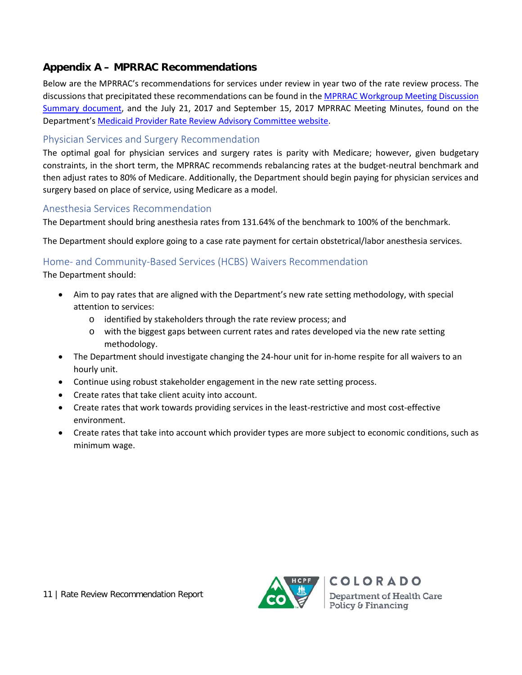## **Appendix A – MPRRAC Recommendations**

Below are the MPRRAC's recommendations for services under review in year two of the rate review process. The discussions that precipitated these recommendations can be found in the [MPRRAC Workgroup Meeting Discussion](https://www.colorado.gov/pacific/sites/default/files/MPRRAC%20Workgroup%20Meeting%20Summaries%20July%202017.pdf)  [Summary document,](https://www.colorado.gov/pacific/sites/default/files/MPRRAC%20Workgroup%20Meeting%20Summaries%20July%202017.pdf) and the July 21, 2017 and September 15, 2017 MPRRAC Meeting Minutes, found on the Department'[s Medicaid Provider Rate Review Advisory Committee website.](https://www.colorado.gov/pacific/hcpf/medicaid-provider-rate-review-advisory-committee)

#### Physician Services and Surgery Recommendation

The optimal goal for physician services and surgery rates is parity with Medicare; however, given budgetary constraints, in the short term, the MPRRAC recommends rebalancing rates at the budget-neutral benchmark and then adjust rates to 80% of Medicare. Additionally, the Department should begin paying for physician services and surgery based on place of service, using Medicare as a model.

#### Anesthesia Services Recommendation

The Department should bring anesthesia rates from 131.64% of the benchmark to 100% of the benchmark.

The Department should explore going to a case rate payment for certain obstetrical/labor anesthesia services.

## Home- and Community-Based Services (HCBS) Waivers Recommendation

The Department should:

- Aim to pay rates that are aligned with the Department's new rate setting methodology, with special attention to services:
	- o identified by stakeholders through the rate review process; and
	- o with the biggest gaps between current rates and rates developed via the new rate setting methodology.
- The Department should investigate changing the 24-hour unit for in-home respite for all waivers to an hourly unit.
- Continue using robust stakeholder engagement in the new rate setting process.
- Create rates that take client acuity into account.
- Create rates that work towards providing services in the least-restrictive and most cost-effective environment.
- Create rates that take into account which provider types are more subject to economic conditions, such as minimum wage.